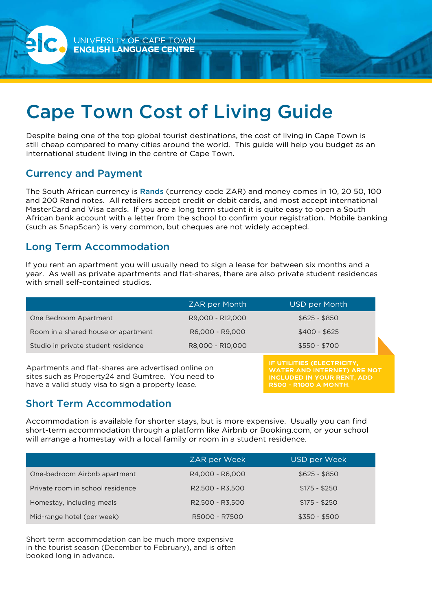

# **Cape Town Cost of Living Guide**<br>Despite being one of the top global tourist destinations, the cost of living in Cape Town is

still cheap compared to many cities around the world. This quide will help you budget as an **still cheap compared to many compared to many compared to many compared to many compared to many compared to ma international student living in the centre of Cape Town.**

## **Currency and Payment**

**The South African currency is Rands (currency code ZAR) and money comes in 10, 20 50, 100**  MasterCard and Visa cards. If you are a long term student it is quite easy to open a South African bank account with a letter from the school to confirm your registration. Mobile banking **(such as SnapScan) is very common, but cheques are not widely accepted. (such as SnapScan) is very common, but cheques are not widely accepted.**

### **Long Term Accommodation**

**If you rent an apartment you will usually need to sign a lease for between six months and a with small self-contained studios. with small self-contained studios.**

|                                     | <b>ZAR per Month</b> | <b>USD per Month</b> |
|-------------------------------------|----------------------|----------------------|
| One Bedroom Apartment               | R9,000 - R12,000     | $$625 - $850$        |
| Room in a shared house or apartment | R6,000 - R9,000      | $$400 - $625$        |
| Studio in private student residence | R8,000 - R10,000     | $$550 - $700$        |
|                                     |                      |                      |

**Apartments and flat-shares are advertised online on** sites such as Property24 and Summer Property24 to **have a valid study visa to sign a property lease.**

**IF UTILITIES (ELECTRICITY, WATER AND INTERNET) ARE NOT INCLUDED IN YOUR RENT, ADD** R500 - R1000 A MONTH.

#### **Short Term Accommodation Short Term Accommodation**

**Accommodation is available for shorter stays, but is more expensive. Usually you can find short-term accommodation term accommodation through a platform in a student residence will arrange a homestay with a local family or room in a student residence.**

|                                  | ZAR per Week    | USD per Week  |
|----------------------------------|-----------------|---------------|
| One-bedroom Airbnb apartment     | R4,000 - R6,000 | $$625 - $850$ |
| Private room in school residence | R2,500 - R3,500 | $$175 - $250$ |
| Homestay, including meals        | R2,500 - R3,500 | $$175 - $250$ |
| Mid-range hotel (per week)       | R5000 - R7500   | $$350 - $500$ |

**Short term accommodation can be much more expensive**  booked long in advance. **booked long in advance.**